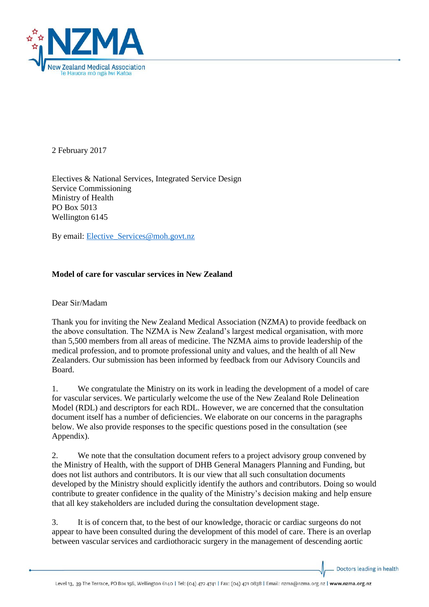

2 February 2017

Electives & National Services, Integrated Service Design Service Commissioning Ministry of Health PO Box 5013 Wellington 6145

By email: Elective Services@moh.govt.nz

# **Model of care for vascular services in New Zealand**

Dear Sir/Madam

Thank you for inviting the New Zealand Medical Association (NZMA) to provide feedback on the above consultation. The NZMA is New Zealand's largest medical organisation, with more than 5,500 members from all areas of medicine. The NZMA aims to provide leadership of the medical profession, and to promote professional unity and values, and the health of all New Zealanders. Our submission has been informed by feedback from our Advisory Councils and Board.

1. We congratulate the Ministry on its work in leading the development of a model of care for vascular services. We particularly welcome the use of the New Zealand Role Delineation Model (RDL) and descriptors for each RDL. However, we are concerned that the consultation document itself has a number of deficiencies. We elaborate on our concerns in the paragraphs below. We also provide responses to the specific questions posed in the consultation (see Appendix).

2. We note that the consultation document refers to a project advisory group convened by the Ministry of Health, with the support of DHB General Managers Planning and Funding, but does not list authors and contributors. It is our view that all such consultation documents developed by the Ministry should explicitly identify the authors and contributors. Doing so would contribute to greater confidence in the quality of the Ministry's decision making and help ensure that all key stakeholders are included during the consultation development stage.

3. It is of concern that, to the best of our knowledge, thoracic or cardiac surgeons do not appear to have been consulted during the development of this model of care. There is an overlap between vascular services and cardiothoracic surgery in the management of descending aortic

Doctors leading in health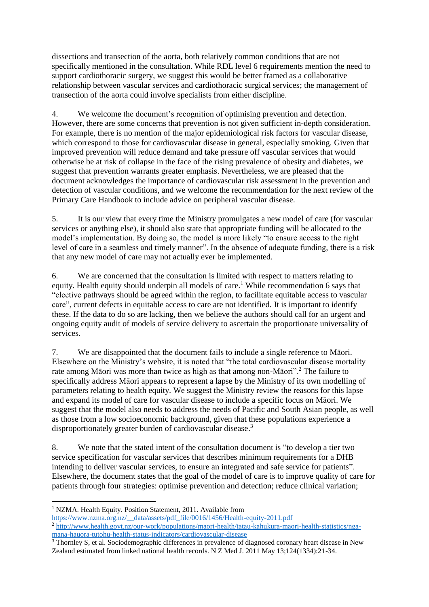dissections and transection of the aorta, both relatively common conditions that are not specifically mentioned in the consultation. While RDL level 6 requirements mention the need to support cardiothoracic surgery, we suggest this would be better framed as a collaborative relationship between vascular services and cardiothoracic surgical services; the management of transection of the aorta could involve specialists from either discipline.

4. We welcome the document's recognition of optimising prevention and detection. However, there are some concerns that prevention is not given sufficient in-depth consideration. For example, there is no mention of the major epidemiological risk factors for vascular disease, which correspond to those for cardiovascular disease in general, especially smoking. Given that improved prevention will reduce demand and take pressure off vascular services that would otherwise be at risk of collapse in the face of the rising prevalence of obesity and diabetes, we suggest that prevention warrants greater emphasis. Nevertheless, we are pleased that the document acknowledges the importance of cardiovascular risk assessment in the prevention and detection of vascular conditions, and we welcome the recommendation for the next review of the Primary Care Handbook to include advice on peripheral vascular disease.

5. It is our view that every time the Ministry promulgates a new model of care (for vascular services or anything else), it should also state that appropriate funding will be allocated to the model's implementation. By doing so, the model is more likely "to ensure access to the right level of care in a seamless and timely manner". In the absence of adequate funding, there is a risk that any new model of care may not actually ever be implemented.

6. We are concerned that the consultation is limited with respect to matters relating to equity. Health equity should underpin all models of care.<sup>1</sup> While recommendation 6 says that "elective pathways should be agreed within the region, to facilitate equitable access to vascular care", current defects in equitable access to care are not identified. It is important to identify these. If the data to do so are lacking, then we believe the authors should call for an urgent and ongoing equity audit of models of service delivery to ascertain the proportionate universality of services.

7. We are disappointed that the document fails to include a single reference to Māori. Elsewhere on the Ministry's website, it is noted that "the total cardiovascular disease mortality rate among Māori was more than twice as high as that among non-Māori".<sup>2</sup> The failure to specifically address Māori appears to represent a lapse by the Ministry of its own modelling of parameters relating to health equity. We suggest the Ministry review the reasons for this lapse and expand its model of care for vascular disease to include a specific focus on Māori. We suggest that the model also needs to address the needs of Pacific and South Asian people, as well as those from a low socioeconomic background, given that these populations experience a disproportionately greater burden of cardiovascular disease.<sup>3</sup>

8. We note that the stated intent of the consultation document is "to develop a tier two service specification for vascular services that describes minimum requirements for a DHB intending to deliver vascular services, to ensure an integrated and safe service for patients". Elsewhere, the document states that the goal of the model of care is to improve quality of care for patients through four strategies: optimise prevention and detection; reduce clinical variation;

1

<sup>&</sup>lt;sup>1</sup> NZMA. Health Equity. Position Statement, 2011. Available from

[https://www.nzma.org.nz/\\_\\_data/assets/pdf\\_file/0016/1456/Health-equity-2011.pdf](https://www.nzma.org.nz/__data/assets/pdf_file/0016/1456/Health-equity-2011.pdf) 

<sup>&</sup>lt;sup>2</sup> [http://www.health.govt.nz/our-work/populations/maori-health/tatau-kahukura-maori-health-statistics/nga](http://www.health.govt.nz/our-work/populations/maori-health/tatau-kahukura-maori-health-statistics/nga-mana-hauora-tutohu-health-status-indicators/cardiovascular-disease)[mana-hauora-tutohu-health-status-indicators/cardiovascular-disease](http://www.health.govt.nz/our-work/populations/maori-health/tatau-kahukura-maori-health-statistics/nga-mana-hauora-tutohu-health-status-indicators/cardiovascular-disease)

<sup>&</sup>lt;sup>3</sup> Thornley S, et al. Sociodemographic differences in prevalence of diagnosed coronary heart disease in New Zealand estimated from linked national health records. N Z Med J. 2011 May 13;124(1334):21-34.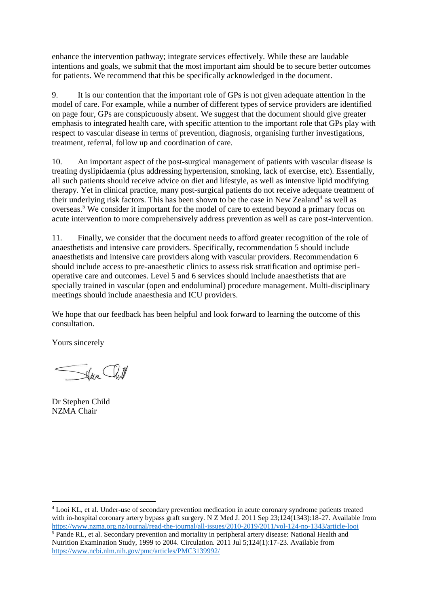enhance the intervention pathway; integrate services effectively. While these are laudable intentions and goals, we submit that the most important aim should be to secure better outcomes for patients. We recommend that this be specifically acknowledged in the document.

9. It is our contention that the important role of GPs is not given adequate attention in the model of care. For example, while a number of different types of service providers are identified on page four, GPs are conspicuously absent. We suggest that the document should give greater emphasis to integrated health care, with specific attention to the important role that GPs play with respect to vascular disease in terms of prevention, diagnosis, organising further investigations, treatment, referral, follow up and coordination of care.

10. An important aspect of the post-surgical management of patients with vascular disease is treating dyslipidaemia (plus addressing hypertension, smoking, lack of exercise, etc). Essentially, all such patients should receive advice on diet and lifestyle, as well as intensive lipid modifying therapy. Yet in clinical practice, many post-surgical patients do not receive adequate treatment of their underlying risk factors. This has been shown to be the case in New Zealand<sup>4</sup> as well as overseas.<sup>5</sup> We consider it important for the model of care to extend beyond a primary focus on acute intervention to more comprehensively address prevention as well as care post-intervention.

11. Finally, we consider that the document needs to afford greater recognition of the role of anaesthetists and intensive care providers. Specifically, recommendation 5 should include anaesthetists and intensive care providers along with vascular providers. Recommendation 6 should include access to pre-anaesthetic clinics to assess risk stratification and optimise perioperative care and outcomes. Level 5 and 6 services should include anaesthetists that are specially trained in vascular (open and endoluminal) procedure management. Multi-disciplinary meetings should include anaesthesia and ICU providers.

We hope that our feedback has been helpful and look forward to learning the outcome of this consultation.

Yours sincerely

Save Cull

Dr Stephen Child NZMA Chair

1

<sup>4</sup> Looi KL, et al. Under-use of secondary prevention medication in acute coronary syndrome patients treated with in-hospital coronary artery bypass graft surgery. N Z Med J. 2011 Sep 23:124(1343):18-27. Available from <https://www.nzma.org.nz/journal/read-the-journal/all-issues/2010-2019/2011/vol-124-no-1343/article-looi> <sup>5</sup> Pande RL, et al. Secondary prevention and mortality in peripheral artery disease: National Health and Nutrition Examination Study, 1999 to 2004. Circulation. 2011 Jul 5;124(1):17-23. Available from <https://www.ncbi.nlm.nih.gov/pmc/articles/PMC3139992/>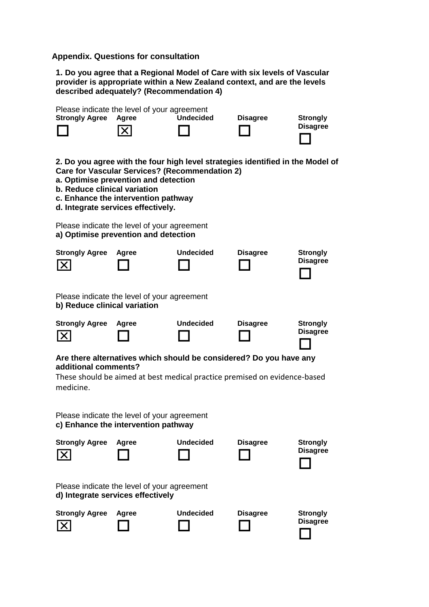**Appendix. Questions for consultation**

**1. Do you agree that a Regional Model of Care with six levels of Vascular provider is appropriate within a New Zealand context, and are the levels described adequately? (Recommendation 4)** 

| <b>Strongly Agree</b>                                                                                                                                                                | Please indicate the level of your agreement<br>Agree<br>X                                                         | <b>Undecided</b>                                      | <b>Disagree</b>                                                                | <b>Strongly</b><br><b>Disagree</b> |  |
|--------------------------------------------------------------------------------------------------------------------------------------------------------------------------------------|-------------------------------------------------------------------------------------------------------------------|-------------------------------------------------------|--------------------------------------------------------------------------------|------------------------------------|--|
| b. Reduce clinical variation                                                                                                                                                         | a. Optimise prevention and detection<br>c. Enhance the intervention pathway<br>d. Integrate services effectively. | <b>Care for Vascular Services? (Recommendation 2)</b> | 2. Do you agree with the four high level strategies identified in the Model of |                                    |  |
|                                                                                                                                                                                      | Please indicate the level of your agreement<br>a) Optimise prevention and detection                               |                                                       |                                                                                |                                    |  |
| <b>Strongly Agree</b><br>$ \times $                                                                                                                                                  | Agree                                                                                                             | <b>Undecided</b>                                      | <b>Disagree</b>                                                                | <b>Strongly</b><br><b>Disagree</b> |  |
| b) Reduce clinical variation                                                                                                                                                         | Please indicate the level of your agreement                                                                       |                                                       |                                                                                |                                    |  |
| <b>Strongly Agree</b><br>$\vert X \vert$                                                                                                                                             | Agree                                                                                                             | <b>Undecided</b>                                      | <b>Disagree</b>                                                                | <b>Strongly</b><br><b>Disagree</b> |  |
| Are there alternatives which should be considered? Do you have any<br>additional comments?<br>These should be aimed at best medical practice premised on evidence-based<br>medicine. |                                                                                                                   |                                                       |                                                                                |                                    |  |
|                                                                                                                                                                                      | Please indicate the level of your agreement<br>c) Enhance the intervention pathway                                |                                                       |                                                                                |                                    |  |
| <b>Strongly Agree</b>                                                                                                                                                                | Agree                                                                                                             | Undecided                                             | <b>Disagree</b>                                                                | <b>Strongly</b><br><b>Disagree</b> |  |
|                                                                                                                                                                                      | Please indicate the level of your agreement<br>d) Integrate services effectively                                  |                                                       |                                                                                |                                    |  |
| <b>Strongly Agree</b>                                                                                                                                                                | Agree                                                                                                             | <b>Undecided</b>                                      | <b>Disagree</b>                                                                | <b>Strongly</b><br><b>Disagree</b> |  |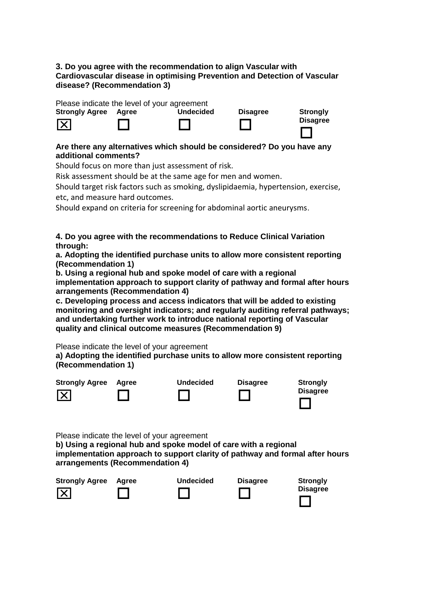#### **3. Do you agree with the recommendation to align Vascular with Cardiovascular disease in optimising Prevention and Detection of Vascular disease? (Recommendation 3)**

Please indicate the level of your agreement

| <b>Strongly Agree</b> | Aaree | <b>Undecided</b> | <b>Disagree</b> | <b>Strongly</b> |
|-----------------------|-------|------------------|-----------------|-----------------|
| $\boxed{\mathsf{X}}$  |       |                  |                 | <b>Disagree</b> |

## **Are there any alternatives which should be considered? Do you have any additional comments?**

Should focus on more than just assessment of risk.

Risk assessment should be at the same age for men and women.

Should target risk factors such as smoking, dyslipidaemia, hypertension, exercise, etc, and measure hard outcomes.

Should expand on criteria for screening for abdominal aortic aneurysms.

**4. Do you agree with the recommendations to Reduce Clinical Variation through:** 

**a. Adopting the identified purchase units to allow more consistent reporting (Recommendation 1)** 

**b. Using a regional hub and spoke model of care with a regional implementation approach to support clarity of pathway and formal after hours arrangements (Recommendation 4)** 

**c. Developing process and access indicators that will be added to existing monitoring and oversight indicators; and regularly auditing referral pathways; and undertaking further work to introduce national reporting of Vascular quality and clinical outcome measures (Recommendation 9)** 

Please indicate the level of your agreement

**a) Adopting the identified purchase units to allow more consistent reporting (Recommendation 1)** 



Please indicate the level of your agreement

**b) Using a regional hub and spoke model of care with a regional implementation approach to support clarity of pathway and formal after hours arrangements (Recommendation 4)** 

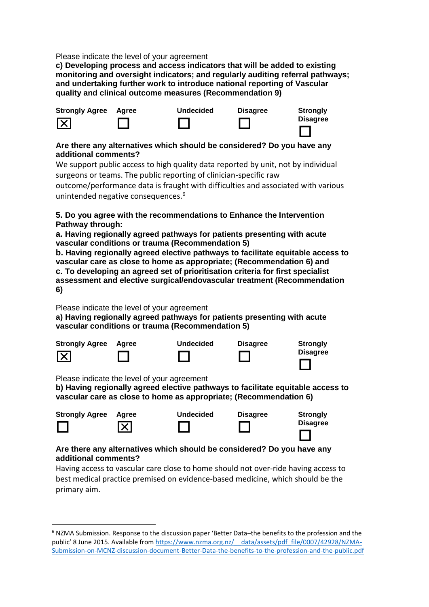Please indicate the level of your agreement

**c) Developing process and access indicators that will be added to existing monitoring and oversight indicators; and regularly auditing referral pathways; and undertaking further work to introduce national reporting of Vascular quality and clinical outcome measures (Recommendation 9)** 



### **Are there any alternatives which should be considered? Do you have any additional comments?**

We support public access to high quality data reported by unit, not by individual surgeons or teams. The public reporting of clinician-specific raw

outcome/performance data is fraught with difficulties and associated with various unintended negative consequences.<sup>6</sup>

## **5. Do you agree with the recommendations to Enhance the Intervention Pathway through:**

**a. Having regionally agreed pathways for patients presenting with acute vascular conditions or trauma (Recommendation 5)** 

**b. Having regionally agreed elective pathways to facilitate equitable access to vascular care as close to home as appropriate; (Recommendation 6) and c. To developing an agreed set of prioritisation criteria for first specialist assessment and elective surgical/endovascular treatment (Recommendation 6)** 

Please indicate the level of your agreement

**a) Having regionally agreed pathways for patients presenting with acute vascular conditions or trauma (Recommendation 5)** 

| <b>Strongly Agree</b> | Aaree | <b>Undecided</b> | <b>Disagree</b> | <b>Strongly</b> |
|-----------------------|-------|------------------|-----------------|-----------------|
| $\boxed{\mathsf{X}}$  |       |                  |                 | <b>Disagree</b> |
|                       |       |                  |                 |                 |

Please indicate the level of your agreement

**.** 

**b) Having regionally agreed elective pathways to facilitate equitable access to vascular care as close to home as appropriate; (Recommendation 6)** 

| <b>Strongly Agree</b> | Agree      | <b>Undecided</b> | <b>Disagree</b> | <b>Strongly</b> |
|-----------------------|------------|------------------|-----------------|-----------------|
|                       | $ \times $ |                  |                 | <b>Disagree</b> |
|                       |            |                  |                 |                 |

## **Are there any alternatives which should be considered? Do you have any additional comments?**

Having access to vascular care close to home should not over-ride having access to best medical practice premised on evidence-based medicine, which should be the primary aim.

<sup>6</sup> NZMA Submission. Response to the discussion paper 'Better Data–the benefits to the profession and the public' 8 June 2015. Available from [https://www.nzma.org.nz/\\_\\_data/assets/pdf\\_file/0007/42928/NZMA-](https://www.nzma.org.nz/__data/assets/pdf_file/0007/42928/NZMA-Submission-on-MCNZ-discussion-document-Better-Data-the-benefits-to-the-profession-and-the-public.pdf)[Submission-on-MCNZ-discussion-document-Better-Data-the-benefits-to-the-profession-and-the-public.pdf](https://www.nzma.org.nz/__data/assets/pdf_file/0007/42928/NZMA-Submission-on-MCNZ-discussion-document-Better-Data-the-benefits-to-the-profession-and-the-public.pdf)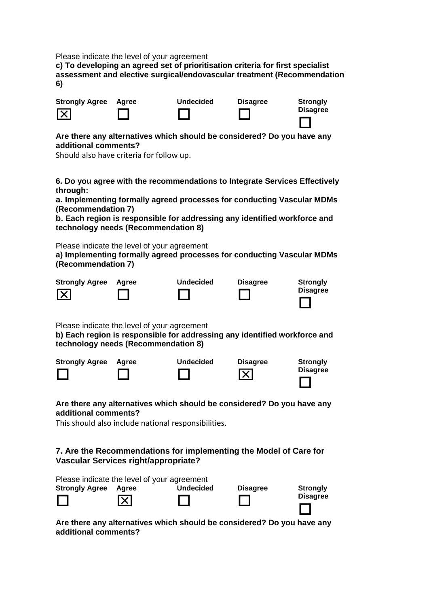Please indicate the level of your agreement

**c) To developing an agreed set of prioritisation criteria for first specialist assessment and elective surgical/endovascular treatment (Recommendation 6)** 

| <b>Strongly Agree</b> | Agree | <b>Undecided</b> | <b>Disagree</b> | <b>Strongly</b> |
|-----------------------|-------|------------------|-----------------|-----------------|
| $ \times $            |       |                  |                 | <b>Disagree</b> |

### **Are there any alternatives which should be considered? Do you have any additional comments?**

Should also have criteria for follow up.

**6. Do you agree with the recommendations to Integrate Services Effectively through:** 

**a. Implementing formally agreed processes for conducting Vascular MDMs (Recommendation 7)** 

**b. Each region is responsible for addressing any identified workforce and technology needs (Recommendation 8)** 

Please indicate the level of your agreement

**a) Implementing formally agreed processes for conducting Vascular MDMs (Recommendation 7)** 







| <b>Disagree</b> |  |
|-----------------|--|
|                 |  |

| Disagree | --- |
|----------|-----|
|          |     |

**Strongly** 

Please indicate the level of your agreement

**b) Each region is responsible for addressing any identified workforce and technology needs (Recommendation 8)** 

| <b>Strongly Agree</b> | Aaree | <b>Undecided</b> | <b>Disagree</b> | <b>Strongly</b> |
|-----------------------|-------|------------------|-----------------|-----------------|
|                       |       |                  | $ \mathsf{x} $  | <b>Disagree</b> |

#### **Are there any alternatives which should be considered? Do you have any additional comments?**

This should also include national responsibilities.

# **7. Are the Recommendations for implementing the Model of Care for Vascular Services right/appropriate?**

|                       |       | Please indicate the level of your agreement |                 |                 |
|-----------------------|-------|---------------------------------------------|-----------------|-----------------|
| <b>Strongly Agree</b> | Aaree | <b>Undecided</b>                            | <b>Disagree</b> | <b>Strongly</b> |
|                       | IXI   |                                             |                 | <b>Disagree</b> |

**Are there any alternatives which should be considered? Do you have any additional comments?**